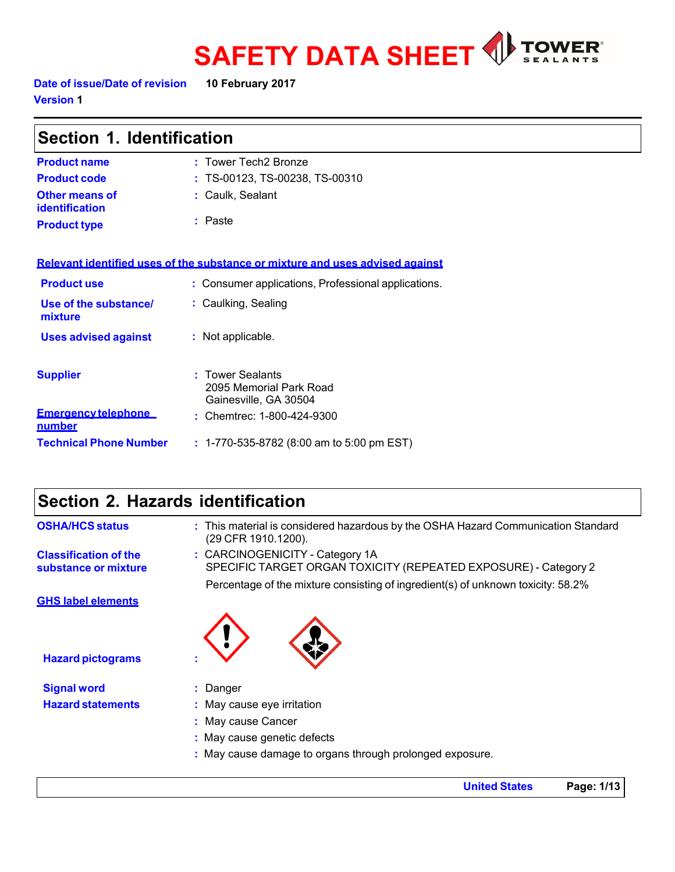

**Date of issue/Date of revision 10 February 2017 Version 1**

| Section 1. Identification               |                                                                               |  |
|-----------------------------------------|-------------------------------------------------------------------------------|--|
| <b>Product name</b>                     | : Tower Tech2 Bronze                                                          |  |
| <b>Product code</b>                     | : TS-00123, TS-00238, TS-00310                                                |  |
| <b>Other means of</b><br>identification | : Caulk, Sealant                                                              |  |
| <b>Product type</b>                     | : Paste                                                                       |  |
|                                         | Relevant identified uses of the substance or mixture and uses advised against |  |
| <b>Product use</b>                      | : Consumer applications, Professional applications.                           |  |
| Use of the substance/<br>mixture        | : Caulking, Sealing                                                           |  |
| <b>Uses advised against</b>             | : Not applicable.                                                             |  |
| <b>Supplier</b>                         | : Tower Sealants<br>2095 Memorial Park Road<br>Gainesville, GA 30504          |  |
| <b>Emergency telephone</b><br>number    | : Chemtrec: 1-800-424-9300                                                    |  |
| <b>Technical Phone Number</b>           | : 1-770-535-8782 (8:00 am to 5:00 pm EST)                                     |  |

# **Section 2. Hazards identification**

| <b>OSHA/HCS status</b>                               | : This material is considered hazardous by the OSHA Hazard Communication Standard<br>(29 CFR 1910.1200).                                                                               |
|------------------------------------------------------|----------------------------------------------------------------------------------------------------------------------------------------------------------------------------------------|
| <b>Classification of the</b><br>substance or mixture | : CARCINOGENICITY - Category 1A<br>SPECIFIC TARGET ORGAN TOXICITY (REPEATED EXPOSURE) - Category 2<br>Percentage of the mixture consisting of ingredient(s) of unknown toxicity: 58.2% |
| <b>GHS label elements</b>                            |                                                                                                                                                                                        |
| <b>Hazard pictograms</b>                             |                                                                                                                                                                                        |
| <b>Signal word</b>                                   | : Danger                                                                                                                                                                               |
| <b>Hazard statements</b>                             | : May cause eye irritation                                                                                                                                                             |
|                                                      | : May cause Cancer                                                                                                                                                                     |
|                                                      | : May cause genetic defects                                                                                                                                                            |
|                                                      | : May cause damage to organs through prolonged exposure.                                                                                                                               |
|                                                      |                                                                                                                                                                                        |

**United States Page: 1/13**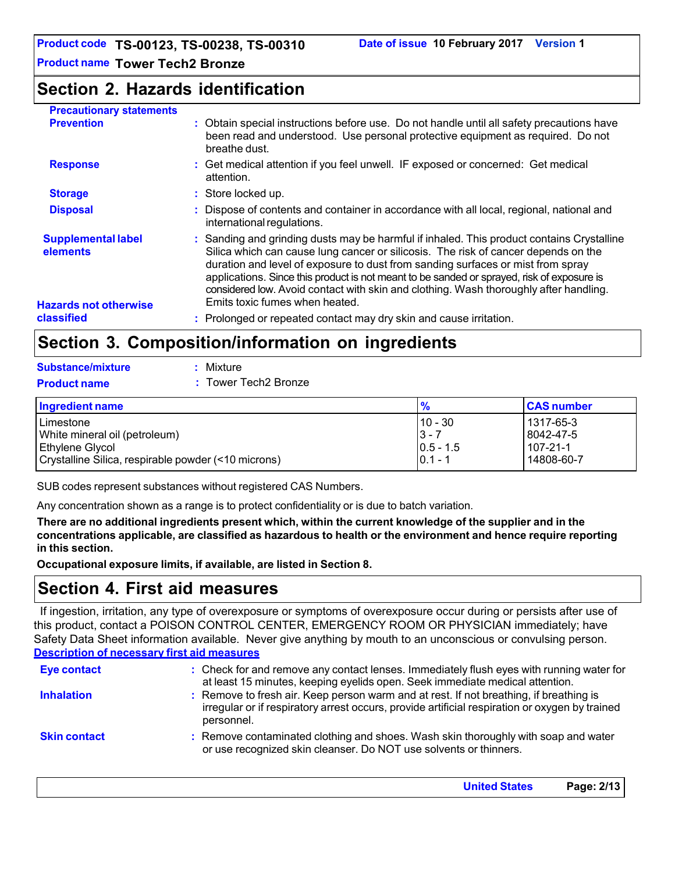### **Section 2. Hazards identification**

| <b>Precautionary statements</b>                                       |                                                                                                                                                                                                                                                                                                                                                                                                                                                                                             |
|-----------------------------------------------------------------------|---------------------------------------------------------------------------------------------------------------------------------------------------------------------------------------------------------------------------------------------------------------------------------------------------------------------------------------------------------------------------------------------------------------------------------------------------------------------------------------------|
| <b>Prevention</b>                                                     | : Obtain special instructions before use. Do not handle until all safety precautions have<br>been read and understood. Use personal protective equipment as required. Do not<br>breathe dust.                                                                                                                                                                                                                                                                                               |
| <b>Response</b>                                                       | : Get medical attention if you feel unwell. IF exposed or concerned: Get medical<br>attention.                                                                                                                                                                                                                                                                                                                                                                                              |
| <b>Storage</b>                                                        | : Store locked up.                                                                                                                                                                                                                                                                                                                                                                                                                                                                          |
| <b>Disposal</b>                                                       | : Dispose of contents and container in accordance with all local, regional, national and<br>international regulations.                                                                                                                                                                                                                                                                                                                                                                      |
| <b>Supplemental label</b><br>elements<br><b>Hazards not otherwise</b> | : Sanding and grinding dusts may be harmful if inhaled. This product contains Crystalline<br>Silica which can cause lung cancer or silicosis. The risk of cancer depends on the<br>duration and level of exposure to dust from sanding surfaces or mist from spray<br>applications. Since this product is not meant to be sanded or sprayed, risk of exposure is<br>considered low. Avoid contact with skin and clothing. Wash thoroughly after handling.<br>Emits toxic fumes when heated. |
| classified                                                            | : Prolonged or repeated contact may dry skin and cause irritation.                                                                                                                                                                                                                                                                                                                                                                                                                          |

## **Section 3. Composition/information on ingredients**

| <b>Substance/mixture</b> | : Mixture            |
|--------------------------|----------------------|
| <b>Product name</b>      | : Tower Tech2 Bronze |

| Ingredient name                                     | $\frac{9}{6}$ | <b>CAS number</b> |
|-----------------------------------------------------|---------------|-------------------|
| Limestone                                           | $10 - 30$     | 1317-65-3         |
| White mineral oil (petroleum)                       | $3 - 7$       | 8042-47-5         |
| <b>Ethylene Glycol</b>                              | $ 0.5 - 1.5 $ | $107 - 21 - 1$    |
| Crystalline Silica, respirable powder (<10 microns) | $0.1 - 1$     | 14808-60-7        |

SUB codes represent substances without registered CAS Numbers.

Any concentration shown as a range is to protect confidentiality or is due to batch variation.

There are no additional ingredients present which, within the current knowledge of the supplier and in the **concentrations applicable, are classified as hazardous to health or the environment and hence require reporting in this section.**

**Occupational exposure limits, if available, are listed in Section 8.**

## **Section 4. First aid measures**

If ingestion, irritation, any type of overexposure or symptoms of overexposure occur during or persists after use of this product, contact a POISON CONTROL CENTER, EMERGENCY ROOM OR PHYSICIAN immediately; have Safety Data Sheet information available. Never give anything by mouth to an unconscious or convulsing person. **Description of necessary first aid measures**

| <b>Eye contact</b>  | : Check for and remove any contact lenses. Immediately flush eyes with running water for<br>at least 15 minutes, keeping eyelids open. Seek immediate medical attention.                               |
|---------------------|--------------------------------------------------------------------------------------------------------------------------------------------------------------------------------------------------------|
| <b>Inhalation</b>   | : Remove to fresh air. Keep person warm and at rest. If not breathing, if breathing is<br>irregular or if respiratory arrest occurs, provide artificial respiration or oxygen by trained<br>personnel. |
| <b>Skin contact</b> | : Remove contaminated clothing and shoes. Wash skin thoroughly with soap and water<br>or use recognized skin cleanser. Do NOT use solvents or thinners.                                                |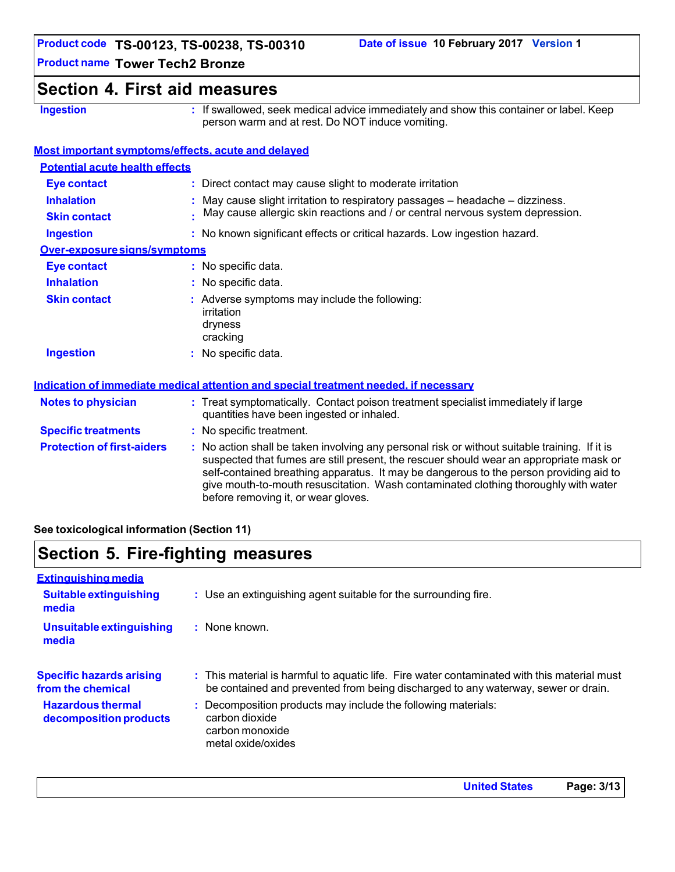### **Section 4. First aid measures**

**Ingestion :** If swallowed, seek medical advice immediately and show this container or label. Keep person warm and at rest. Do NOT induce vomiting.

### **Most important symptoms/effects, acute and delayed**

| <b>Potential acute health effects</b>    |                                                                                                                                                                                                                                                                                                                                                                                                                 |
|------------------------------------------|-----------------------------------------------------------------------------------------------------------------------------------------------------------------------------------------------------------------------------------------------------------------------------------------------------------------------------------------------------------------------------------------------------------------|
| <b>Eye contact</b>                       | : Direct contact may cause slight to moderate irritation                                                                                                                                                                                                                                                                                                                                                        |
| <b>Inhalation</b><br><b>Skin contact</b> | : May cause slight irritation to respiratory passages – headache – dizziness.<br>May cause allergic skin reactions and / or central nervous system depression.                                                                                                                                                                                                                                                  |
| <b>Ingestion</b>                         | : No known significant effects or critical hazards. Low ingestion hazard.                                                                                                                                                                                                                                                                                                                                       |
| Over-exposure signs/symptoms             |                                                                                                                                                                                                                                                                                                                                                                                                                 |
| <b>Eye contact</b>                       | : No specific data.                                                                                                                                                                                                                                                                                                                                                                                             |
| <b>Inhalation</b>                        | : No specific data.                                                                                                                                                                                                                                                                                                                                                                                             |
| <b>Skin contact</b>                      | : Adverse symptoms may include the following:<br>irritation<br>dryness<br>cracking                                                                                                                                                                                                                                                                                                                              |
| <b>Ingestion</b>                         | : No specific data.                                                                                                                                                                                                                                                                                                                                                                                             |
|                                          | Indication of immediate medical attention and special treatment needed, if necessary                                                                                                                                                                                                                                                                                                                            |
| <b>Notes to physician</b>                | : Treat symptomatically. Contact poison treatment specialist immediately if large<br>quantities have been ingested or inhaled.                                                                                                                                                                                                                                                                                  |
| <b>Specific treatments</b>               | : No specific treatment.                                                                                                                                                                                                                                                                                                                                                                                        |
| <b>Protection of first-aiders</b>        | : No action shall be taken involving any personal risk or without suitable training. If it is<br>suspected that fumes are still present, the rescuer should wear an appropriate mask or<br>self-contained breathing apparatus. It may be dangerous to the person providing aid to<br>give mouth-to-mouth resuscitation. Wash contaminated clothing thoroughly with water<br>before removing it, or wear gloves. |

**See toxicological information (Section 11)**

# **Section 5. Fire-fighting measures**

| <b>Extinguishing media</b>                           |                                                                                                                                                                                  |
|------------------------------------------------------|----------------------------------------------------------------------------------------------------------------------------------------------------------------------------------|
| <b>Suitable extinguishing</b><br>media               | : Use an extinguishing agent suitable for the surrounding fire.                                                                                                                  |
| Unsuitable extinguishing<br>media                    | $:$ None known.                                                                                                                                                                  |
| <b>Specific hazards arising</b><br>from the chemical | : This material is harmful to aquatic life. Fire water contaminated with this material must<br>be contained and prevented from being discharged to any waterway, sewer or drain. |
| <b>Hazardous thermal</b><br>decomposition products   | : Decomposition products may include the following materials:<br>carbon dioxide<br>carbon monoxide<br>metal oxide/oxides                                                         |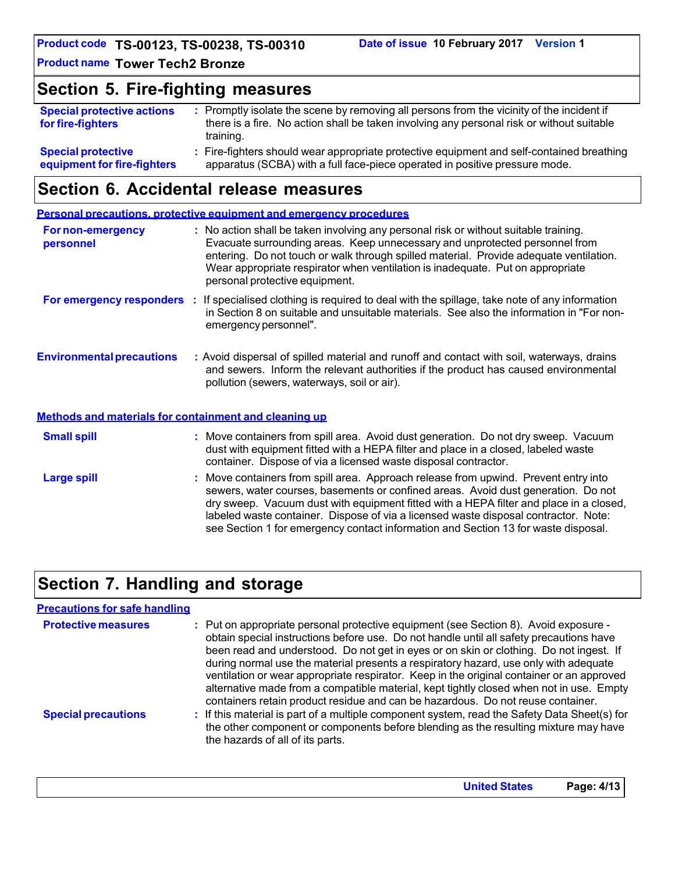**Product code TS-00123, TS-00238, TS-00310**

**Product name Tower Tech2 Bronze**

### **Section 5. Fire-fighting measures**

| <b>Special protective actions</b><br>for fire-fighters | : Promptly isolate the scene by removing all persons from the vicinity of the incident if<br>there is a fire. No action shall be taken involving any personal risk or without suitable<br>training. |
|--------------------------------------------------------|-----------------------------------------------------------------------------------------------------------------------------------------------------------------------------------------------------|
| <b>Special protective</b>                              | : Fire-fighters should wear appropriate protective equipment and self-contained breathing                                                                                                           |
| equipment for fire-fighters                            | apparatus (SCBA) with a full face-piece operated in positive pressure mode.                                                                                                                         |

### **Section 6. Accidental release measures**

**Personal precautions, protective equipment and emergency procedures**

| <b>For non-emergency</b><br>personnel                 | : No action shall be taken involving any personal risk or without suitable training.<br>Evacuate surrounding areas. Keep unnecessary and unprotected personnel from<br>entering. Do not touch or walk through spilled material. Provide adequate ventilation.<br>Wear appropriate respirator when ventilation is inadequate. Put on appropriate<br>personal protective equipment. |
|-------------------------------------------------------|-----------------------------------------------------------------------------------------------------------------------------------------------------------------------------------------------------------------------------------------------------------------------------------------------------------------------------------------------------------------------------------|
| For emergency responders                              | : If specialised clothing is required to deal with the spillage, take note of any information<br>in Section 8 on suitable and unsuitable materials. See also the information in "For non-<br>emergency personnel".                                                                                                                                                                |
| <b>Environmental precautions</b>                      | : Avoid dispersal of spilled material and runoff and contact with soil, waterways, drains<br>and sewers. Inform the relevant authorities if the product has caused environmental<br>pollution (sewers, waterways, soil or air).                                                                                                                                                   |
| Methods and materials for containment and cleaning up |                                                                                                                                                                                                                                                                                                                                                                                   |
| <b>Small spill</b>                                    | : Move containers from spill area. Avoid dust generation. Do not dry sweep. Vacuum<br>dust with equipment fitted with a HEPA filter and place in a closed, labeled waste<br>container. Dispose of via a licensed waste disposal contractor.                                                                                                                                       |
| <b>Large spill</b>                                    | : Move containers from spill area. Approach release from upwind. Prevent entry into<br>sewers, water courses, basements or confined areas. Avoid dust generation. Do not<br>dry sweep. Vacuum dust with equipment fitted with a HEPA filter and place in a closed,<br>labeled waste container. Dispose of via a licensed waste disposal contractor. Note:                         |

# **Section 7. Handling and storage**

| <b>Precautions for safe handling</b> |                                                                                                                                                                                                                                                                                                                                                                                                                                                                                                                                                                                                                                              |
|--------------------------------------|----------------------------------------------------------------------------------------------------------------------------------------------------------------------------------------------------------------------------------------------------------------------------------------------------------------------------------------------------------------------------------------------------------------------------------------------------------------------------------------------------------------------------------------------------------------------------------------------------------------------------------------------|
| <b>Protective measures</b>           | : Put on appropriate personal protective equipment (see Section 8). Avoid exposure -<br>obtain special instructions before use. Do not handle until all safety precautions have<br>been read and understood. Do not get in eyes or on skin or clothing. Do not ingest. If<br>during normal use the material presents a respiratory hazard, use only with adequate<br>ventilation or wear appropriate respirator. Keep in the original container or an approved<br>alternative made from a compatible material, kept tightly closed when not in use. Empty<br>containers retain product residue and can be hazardous. Do not reuse container. |
| <b>Special precautions</b>           | : If this material is part of a multiple component system, read the Safety Data Sheet(s) for<br>the other component or components before blending as the resulting mixture may have<br>the hazards of all of its parts.                                                                                                                                                                                                                                                                                                                                                                                                                      |

see Section 1 for emergency contact information and Section 13 for waste disposal.

**United States Page: 4/13**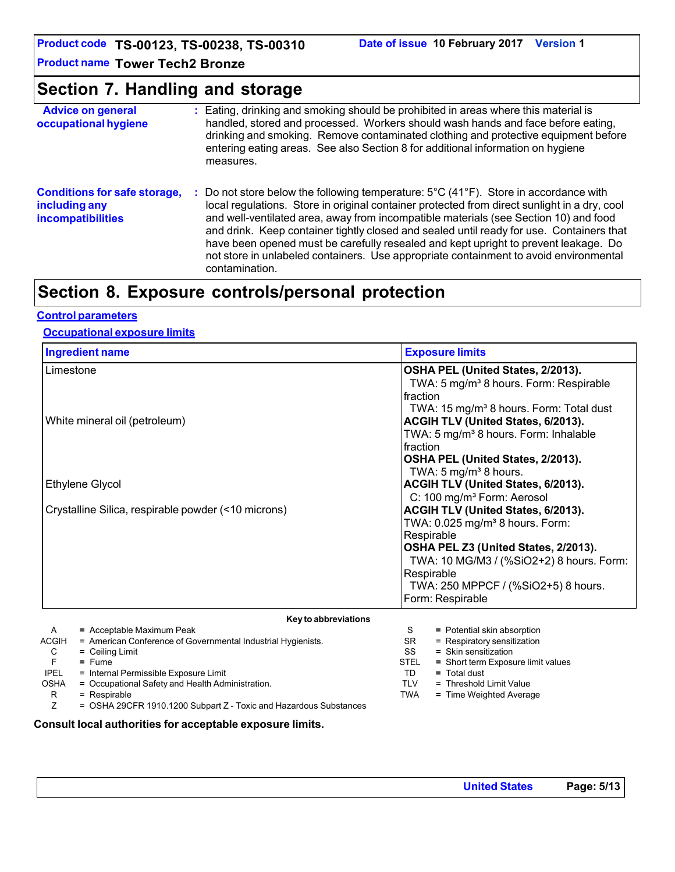**Product code TS-00123, TS-00238, TS-00310**

**Product name Tower Tech2 Bronze**

## **Section 7. Handling and storage**

| <b>Advice on general</b><br>occupational hygiene                                 |    | : Eating, drinking and smoking should be prohibited in areas where this material is<br>handled, stored and processed. Workers should wash hands and face before eating,<br>drinking and smoking. Remove contaminated clothing and protective equipment before<br>entering eating areas. See also Section 8 for additional information on hygiene<br>measures.                                                                                                                                                                                                                                 |
|----------------------------------------------------------------------------------|----|-----------------------------------------------------------------------------------------------------------------------------------------------------------------------------------------------------------------------------------------------------------------------------------------------------------------------------------------------------------------------------------------------------------------------------------------------------------------------------------------------------------------------------------------------------------------------------------------------|
| <b>Conditions for safe storage,</b><br>including any<br><b>incompatibilities</b> | ÷. | Do not store below the following temperature: $5^{\circ}$ C (41 $^{\circ}$ F). Store in accordance with<br>local regulations. Store in original container protected from direct sunlight in a dry, cool<br>and well-ventilated area, away from incompatible materials (see Section 10) and food<br>and drink. Keep container tightly closed and sealed until ready for use. Containers that<br>have been opened must be carefully resealed and kept upright to prevent leakage. Do<br>not store in unlabeled containers. Use appropriate containment to avoid environmental<br>contamination. |

# **Section 8. Exposure controls/personal protection**

### **Control parameters**

#### **Occupational exposure limits**

| <b>Exposure limits</b>                              |
|-----------------------------------------------------|
| OSHA PEL (United States, 2/2013).                   |
| TWA: 5 mg/m <sup>3</sup> 8 hours. Form: Respirable  |
| fraction                                            |
| TWA: 15 mg/m <sup>3</sup> 8 hours. Form: Total dust |
| <b>ACGIH TLV (United States, 6/2013).</b>           |
| TWA: 5 mg/m <sup>3</sup> 8 hours. Form: Inhalable   |
| fraction                                            |
| OSHA PEL (United States, 2/2013).                   |
| TWA: 5 mg/m <sup>3</sup> 8 hours.                   |
| ACGIH TLV (United States, 6/2013).                  |
| C: 100 mg/m <sup>3</sup> Form: Aerosol              |
| ACGIH TLV (United States, 6/2013).                  |
| TWA: 0.025 mg/m <sup>3</sup> 8 hours. Form:         |
| Respirable                                          |
| OSHA PEL Z3 (United States, 2/2013).                |
| TWA: 10 MG/M3 / (%SiO2+2) 8 hours. Form:            |
| Respirable                                          |
| TWA: 250 MPPCF / (%SiO2+5) 8 hours.                 |
| Form: Respirable                                    |
|                                                     |

|             | Key to abbreviations                                              |             |                                    |
|-------------|-------------------------------------------------------------------|-------------|------------------------------------|
| A           | = Acceptable Maximum Peak                                         | S           | $=$ Potential skin absorption      |
| ACGIH       | = American Conference of Governmental Industrial Hygienists.      | SR          | $=$ Respiratory sensitization      |
| C           | $=$ Ceiling Limit                                                 | SS          | $=$ Skin sensitization             |
|             | $=$ Fume                                                          | <b>STEL</b> | = Short term Exposure limit values |
| <b>IPEL</b> | = Internal Permissible Exposure Limit                             | TD          | $=$ Total dust                     |
| <b>OSHA</b> | = Occupational Safety and Health Administration.                  | TLV         | = Threshold Limit Value            |
| R           | = Respirable                                                      | <b>TWA</b>  | $=$ Time Weighted Average          |
|             | = OSHA 29CFR 1910.1200 Subpart Z - Toxic and Hazardous Substances |             |                                    |

#### **Consult local authorities for acceptable exposure limits.**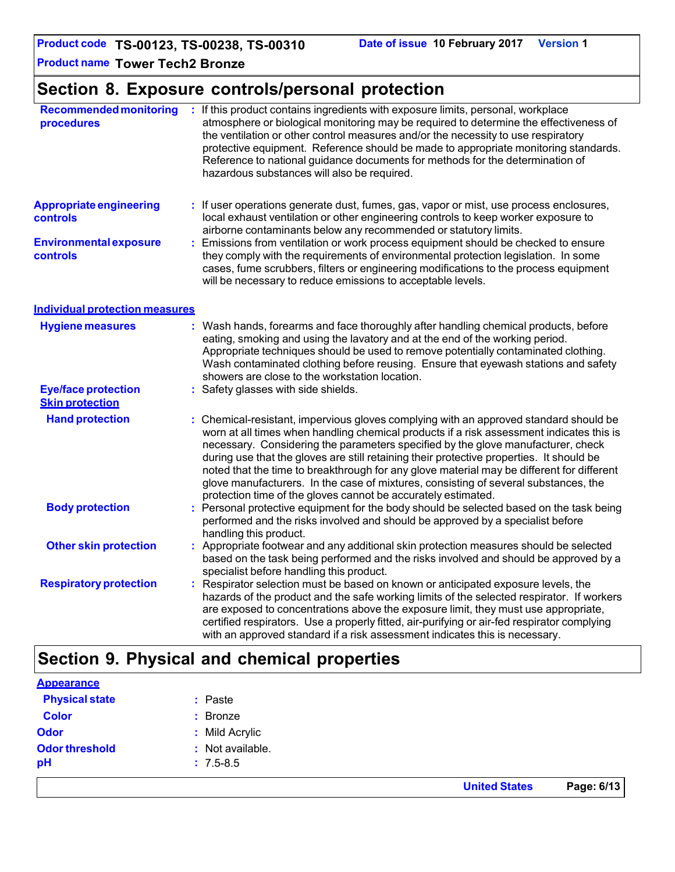# **Section 8. Exposure controls/personal protection**

| <b>Recommended monitoring</b><br>procedures          |   | : If this product contains ingredients with exposure limits, personal, workplace<br>atmosphere or biological monitoring may be required to determine the effectiveness of<br>the ventilation or other control measures and/or the necessity to use respiratory<br>protective equipment. Reference should be made to appropriate monitoring standards.<br>Reference to national guidance documents for methods for the determination of<br>hazardous substances will also be required.                                                                                                                                  |  |  |
|------------------------------------------------------|---|------------------------------------------------------------------------------------------------------------------------------------------------------------------------------------------------------------------------------------------------------------------------------------------------------------------------------------------------------------------------------------------------------------------------------------------------------------------------------------------------------------------------------------------------------------------------------------------------------------------------|--|--|
| <b>Appropriate engineering</b><br>controls           |   | : If user operations generate dust, fumes, gas, vapor or mist, use process enclosures,<br>local exhaust ventilation or other engineering controls to keep worker exposure to<br>airborne contaminants below any recommended or statutory limits.                                                                                                                                                                                                                                                                                                                                                                       |  |  |
| <b>Environmental exposure</b><br><b>controls</b>     |   | Emissions from ventilation or work process equipment should be checked to ensure<br>they comply with the requirements of environmental protection legislation. In some<br>cases, fume scrubbers, filters or engineering modifications to the process equipment<br>will be necessary to reduce emissions to acceptable levels.                                                                                                                                                                                                                                                                                          |  |  |
| <b>Individual protection measures</b>                |   |                                                                                                                                                                                                                                                                                                                                                                                                                                                                                                                                                                                                                        |  |  |
| <b>Hygiene measures</b>                              |   | : Wash hands, forearms and face thoroughly after handling chemical products, before<br>eating, smoking and using the lavatory and at the end of the working period.<br>Appropriate techniques should be used to remove potentially contaminated clothing.<br>Wash contaminated clothing before reusing. Ensure that eyewash stations and safety<br>showers are close to the workstation location.                                                                                                                                                                                                                      |  |  |
| <b>Eye/face protection</b><br><b>Skin protection</b> |   | : Safety glasses with side shields.                                                                                                                                                                                                                                                                                                                                                                                                                                                                                                                                                                                    |  |  |
| <b>Hand protection</b>                               |   | : Chemical-resistant, impervious gloves complying with an approved standard should be<br>worn at all times when handling chemical products if a risk assessment indicates this is<br>necessary. Considering the parameters specified by the glove manufacturer, check<br>during use that the gloves are still retaining their protective properties. It should be<br>noted that the time to breakthrough for any glove material may be different for different<br>glove manufacturers. In the case of mixtures, consisting of several substances, the<br>protection time of the gloves cannot be accurately estimated. |  |  |
| <b>Body protection</b>                               |   | : Personal protective equipment for the body should be selected based on the task being<br>performed and the risks involved and should be approved by a specialist before<br>handling this product.                                                                                                                                                                                                                                                                                                                                                                                                                    |  |  |
| <b>Other skin protection</b>                         |   | : Appropriate footwear and any additional skin protection measures should be selected<br>based on the task being performed and the risks involved and should be approved by a<br>specialist before handling this product.                                                                                                                                                                                                                                                                                                                                                                                              |  |  |
| <b>Respiratory protection</b>                        | ÷ | Respirator selection must be based on known or anticipated exposure levels, the<br>hazards of the product and the safe working limits of the selected respirator. If workers<br>are exposed to concentrations above the exposure limit, they must use appropriate,<br>certified respirators. Use a properly fitted, air-purifying or air-fed respirator complying<br>with an approved standard if a risk assessment indicates this is necessary.                                                                                                                                                                       |  |  |

# **Section 9. Physical and chemical properties**

|                       |                  | <b>United States</b> | Page: 6/13 |
|-----------------------|------------------|----------------------|------------|
| pH                    | $: 7.5 - 8.5$    |                      |            |
| <b>Odor threshold</b> | : Not available. |                      |            |
| <b>Odor</b>           | : Mild Acrylic   |                      |            |
| <b>Color</b>          | : Bronze         |                      |            |
| <b>Physical state</b> | : Paste          |                      |            |
| <b>Appearance</b>     |                  |                      |            |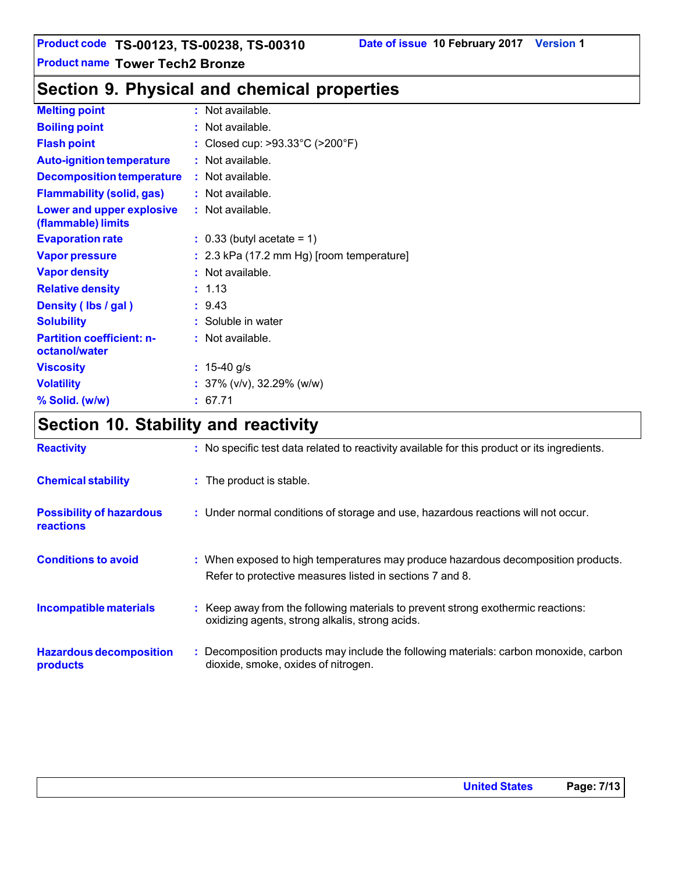# **Section 9. Physical and chemical properties**

| <b>Melting point</b>                              | $:$ Not available.                                   |
|---------------------------------------------------|------------------------------------------------------|
| <b>Boiling point</b>                              | : Not available.                                     |
| <b>Flash point</b>                                | : Closed cup: $>93.33^{\circ}$ C ( $>200^{\circ}$ F) |
| <b>Auto-ignition temperature</b>                  | : Not available.                                     |
| <b>Decomposition temperature</b>                  | $:$ Not available.                                   |
| <b>Flammability (solid, gas)</b>                  | : Not available.                                     |
| Lower and upper explosive<br>(flammable) limits   | $:$ Not available.                                   |
| <b>Evaporation rate</b>                           | $\therefore$ 0.33 (butyl acetate = 1)                |
| <b>Vapor pressure</b>                             | $: 2.3$ kPa (17.2 mm Hg) [room temperature]          |
| <b>Vapor density</b>                              | $:$ Not available.                                   |
| <b>Relative density</b>                           | : 1.13                                               |
| Density (Ibs / gal)                               | : 9.43                                               |
| <b>Solubility</b>                                 | : Soluble in water                                   |
| <b>Partition coefficient: n-</b><br>octanol/water | : Not available.                                     |
| <b>Viscosity</b>                                  | : $15-40$ g/s                                        |
| <b>Volatility</b>                                 | : $37\%$ (v/v), $32.29\%$ (w/w)                      |
| % Solid. (w/w)                                    | : 67.71                                              |

# **Section 10. Stability and reactivity**

| <b>Reactivity</b>                                   | : No specific test data related to reactivity available for this product or its ingredients.                                                  |
|-----------------------------------------------------|-----------------------------------------------------------------------------------------------------------------------------------------------|
| <b>Chemical stability</b>                           | : The product is stable.                                                                                                                      |
| <b>Possibility of hazardous</b><br><b>reactions</b> | : Under normal conditions of storage and use, hazardous reactions will not occur.                                                             |
| <b>Conditions to avoid</b>                          | : When exposed to high temperatures may produce hazardous decomposition products.<br>Refer to protective measures listed in sections 7 and 8. |
| Incompatible materials                              | : Keep away from the following materials to prevent strong exothermic reactions:<br>oxidizing agents, strong alkalis, strong acids.           |
| <b>Hazardous decomposition</b><br>products          | : Decomposition products may include the following materials: carbon monoxide, carbon<br>dioxide, smoke, oxides of nitrogen.                  |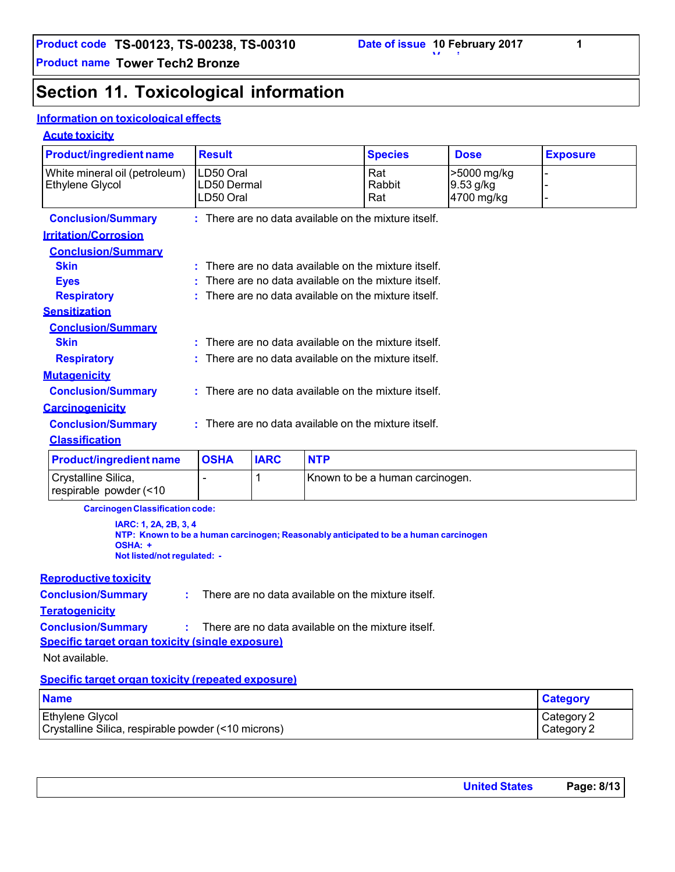# **Section 11. Toxicological information**

### **Information on toxicological effects**

### **Acute toxicity**

| <b>Product/ingredient name</b>                                                                                                                          | <b>Result</b>                                      |                                                    |                                                    | <b>Species</b>                  | <b>Dose</b> | <b>Exposure</b> |
|---------------------------------------------------------------------------------------------------------------------------------------------------------|----------------------------------------------------|----------------------------------------------------|----------------------------------------------------|---------------------------------|-------------|-----------------|
| White mineral oil (petroleum)                                                                                                                           | LD50 Oral                                          |                                                    | Rat                                                | >5000 mg/kg                     |             |                 |
| Ethylene Glycol                                                                                                                                         | LD50 Dermal                                        |                                                    |                                                    | Rabbit                          | $9.53$ g/kg |                 |
|                                                                                                                                                         | LD50 Oral                                          |                                                    |                                                    | Rat                             | 4700 mg/kg  |                 |
| <b>Conclusion/Summary</b>                                                                                                                               |                                                    |                                                    | There are no data available on the mixture itself. |                                 |             |                 |
| <b>Irritation/Corrosion</b>                                                                                                                             |                                                    |                                                    |                                                    |                                 |             |                 |
| <b>Conclusion/Summary</b>                                                                                                                               |                                                    |                                                    |                                                    |                                 |             |                 |
| <b>Skin</b>                                                                                                                                             |                                                    |                                                    | There are no data available on the mixture itself. |                                 |             |                 |
| <b>Eyes</b>                                                                                                                                             |                                                    |                                                    | There are no data available on the mixture itself. |                                 |             |                 |
| <b>Respiratory</b>                                                                                                                                      |                                                    |                                                    | There are no data available on the mixture itself. |                                 |             |                 |
| <b>Sensitization</b>                                                                                                                                    |                                                    |                                                    |                                                    |                                 |             |                 |
| <b>Conclusion/Summary</b>                                                                                                                               |                                                    |                                                    |                                                    |                                 |             |                 |
| <b>Skin</b>                                                                                                                                             |                                                    | There are no data available on the mixture itself. |                                                    |                                 |             |                 |
| <b>Respiratory</b>                                                                                                                                      |                                                    |                                                    | There are no data available on the mixture itself. |                                 |             |                 |
| <b>Mutagenicity</b>                                                                                                                                     |                                                    |                                                    |                                                    |                                 |             |                 |
| <b>Conclusion/Summary</b>                                                                                                                               | There are no data available on the mixture itself. |                                                    |                                                    |                                 |             |                 |
| <b>Carcinogenicity</b>                                                                                                                                  |                                                    |                                                    |                                                    |                                 |             |                 |
| <b>Conclusion/Summary</b>                                                                                                                               | There are no data available on the mixture itself. |                                                    |                                                    |                                 |             |                 |
| <b>Classification</b>                                                                                                                                   |                                                    |                                                    |                                                    |                                 |             |                 |
| <b>Product/ingredient name</b>                                                                                                                          | <b>OSHA</b>                                        | <b>IARC</b>                                        | <b>NTP</b>                                         |                                 |             |                 |
| Crystalline Silica,                                                                                                                                     |                                                    | 1                                                  |                                                    | Known to be a human carcinogen. |             |                 |
| respirable powder (<10                                                                                                                                  |                                                    |                                                    |                                                    |                                 |             |                 |
| <b>Carcinogen Classification code:</b>                                                                                                                  |                                                    |                                                    |                                                    |                                 |             |                 |
| IARC: 1, 2A, 2B, 3, 4<br>NTP: Known to be a human carcinogen; Reasonably anticipated to be a human carcinogen<br>OSHA: +<br>Not listed/not regulated: - |                                                    |                                                    |                                                    |                                 |             |                 |
| <b>Reproductive toxicity</b>                                                                                                                            |                                                    |                                                    |                                                    |                                 |             |                 |

| Specific target organ toxicity (repeated exposure) |                                                                                |
|----------------------------------------------------|--------------------------------------------------------------------------------|
| Not available.                                     |                                                                                |
| Specific target organ toxicity (single exposure)   |                                                                                |
|                                                    | <b>Conclusion/Summary :</b> There are no data available on the mixture itself. |
| <b>Teratogenicity</b>                              |                                                                                |
| <b>Conclusion/Summary</b>                          | : There are no data available on the mixture itself.                           |

| <b>Name</b>                                         | <b>Category</b> |
|-----------------------------------------------------|-----------------|
| Ethylene Glycol                                     | Category 2      |
| Crystalline Silica, respirable powder (<10 microns) | Category 2      |

| <b>United States</b> | Page: 8/13 |
|----------------------|------------|
|                      |            |

**1**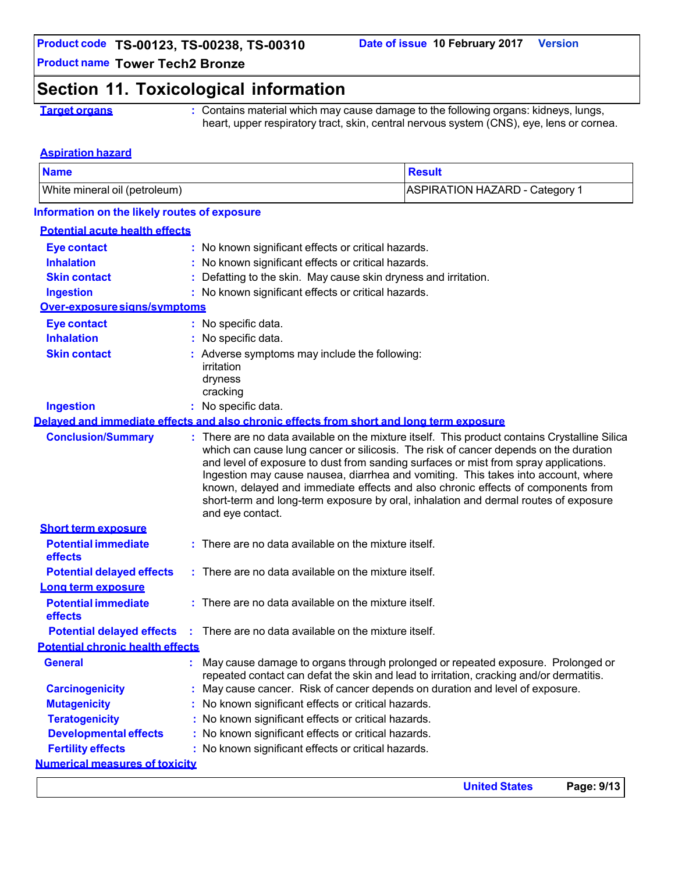**United States Page: 9/13**

**Product name Tower Tech2 Bronze**

# **Section 11. Toxicological information**

**Target organs :** Contains material which may cause damage to the following organs: kidneys, lungs, heart, upper respiratory tract, skin, central nervous system (CNS), eye, lens or cornea.

#### **Aspiration hazard**

| <b>Name</b>                                                                                                                                                                                                                                                                                                                                                                                                                                                                                                                                                       |                                                                                         |                                                                                       | <b>Result</b>                         |  |
|-------------------------------------------------------------------------------------------------------------------------------------------------------------------------------------------------------------------------------------------------------------------------------------------------------------------------------------------------------------------------------------------------------------------------------------------------------------------------------------------------------------------------------------------------------------------|-----------------------------------------------------------------------------------------|---------------------------------------------------------------------------------------|---------------------------------------|--|
| White mineral oil (petroleum)                                                                                                                                                                                                                                                                                                                                                                                                                                                                                                                                     |                                                                                         |                                                                                       | <b>ASPIRATION HAZARD - Category 1</b> |  |
| Information on the likely routes of exposure                                                                                                                                                                                                                                                                                                                                                                                                                                                                                                                      |                                                                                         |                                                                                       |                                       |  |
| <b>Potential acute health effects</b>                                                                                                                                                                                                                                                                                                                                                                                                                                                                                                                             |                                                                                         |                                                                                       |                                       |  |
| <b>Eye contact</b>                                                                                                                                                                                                                                                                                                                                                                                                                                                                                                                                                |                                                                                         | No known significant effects or critical hazards.                                     |                                       |  |
| <b>Inhalation</b>                                                                                                                                                                                                                                                                                                                                                                                                                                                                                                                                                 |                                                                                         | : No known significant effects or critical hazards.                                   |                                       |  |
| <b>Skin contact</b>                                                                                                                                                                                                                                                                                                                                                                                                                                                                                                                                               |                                                                                         | Defatting to the skin. May cause skin dryness and irritation.                         |                                       |  |
| <b>Ingestion</b>                                                                                                                                                                                                                                                                                                                                                                                                                                                                                                                                                  |                                                                                         | : No known significant effects or critical hazards.                                   |                                       |  |
| Over-exposure signs/symptoms                                                                                                                                                                                                                                                                                                                                                                                                                                                                                                                                      |                                                                                         |                                                                                       |                                       |  |
| <b>Eye contact</b>                                                                                                                                                                                                                                                                                                                                                                                                                                                                                                                                                |                                                                                         | : No specific data.                                                                   |                                       |  |
| <b>Inhalation</b>                                                                                                                                                                                                                                                                                                                                                                                                                                                                                                                                                 |                                                                                         | No specific data.                                                                     |                                       |  |
| <b>Skin contact</b>                                                                                                                                                                                                                                                                                                                                                                                                                                                                                                                                               |                                                                                         | : Adverse symptoms may include the following:                                         |                                       |  |
|                                                                                                                                                                                                                                                                                                                                                                                                                                                                                                                                                                   |                                                                                         | irritation                                                                            |                                       |  |
|                                                                                                                                                                                                                                                                                                                                                                                                                                                                                                                                                                   |                                                                                         | dryness                                                                               |                                       |  |
|                                                                                                                                                                                                                                                                                                                                                                                                                                                                                                                                                                   |                                                                                         | cracking                                                                              |                                       |  |
| <b>Ingestion</b><br>: No specific data.<br>Delayed and immediate effects and also chronic effects from short and long term exposure                                                                                                                                                                                                                                                                                                                                                                                                                               |                                                                                         |                                                                                       |                                       |  |
| <b>Conclusion/Summary</b>                                                                                                                                                                                                                                                                                                                                                                                                                                                                                                                                         |                                                                                         |                                                                                       |                                       |  |
| : There are no data available on the mixture itself. This product contains Crystalline Silica<br>which can cause lung cancer or silicosis. The risk of cancer depends on the duration<br>and level of exposure to dust from sanding surfaces or mist from spray applications.<br>Ingestion may cause nausea, diarrhea and vomiting. This takes into account, where<br>known, delayed and immediate effects and also chronic effects of components from<br>short-term and long-term exposure by oral, inhalation and dermal routes of exposure<br>and eye contact. |                                                                                         |                                                                                       |                                       |  |
| <b>Short term exposure</b>                                                                                                                                                                                                                                                                                                                                                                                                                                                                                                                                        |                                                                                         |                                                                                       |                                       |  |
| <b>Potential immediate</b><br>effects                                                                                                                                                                                                                                                                                                                                                                                                                                                                                                                             |                                                                                         | : There are no data available on the mixture itself.                                  |                                       |  |
| <b>Potential delayed effects</b>                                                                                                                                                                                                                                                                                                                                                                                                                                                                                                                                  |                                                                                         | : There are no data available on the mixture itself.                                  |                                       |  |
| Long term exposure                                                                                                                                                                                                                                                                                                                                                                                                                                                                                                                                                |                                                                                         |                                                                                       |                                       |  |
| <b>Potential immediate</b><br>effects                                                                                                                                                                                                                                                                                                                                                                                                                                                                                                                             |                                                                                         | : There are no data available on the mixture itself.                                  |                                       |  |
|                                                                                                                                                                                                                                                                                                                                                                                                                                                                                                                                                                   |                                                                                         | <b>Potential delayed effects</b> : There are no data available on the mixture itself. |                                       |  |
| <b>Potential chronic health effects</b>                                                                                                                                                                                                                                                                                                                                                                                                                                                                                                                           |                                                                                         |                                                                                       |                                       |  |
| May cause damage to organs through prolonged or repeated exposure. Prolonged or<br><b>General</b>                                                                                                                                                                                                                                                                                                                                                                                                                                                                 |                                                                                         |                                                                                       |                                       |  |
|                                                                                                                                                                                                                                                                                                                                                                                                                                                                                                                                                                   | repeated contact can defat the skin and lead to irritation, cracking and/or dermatitis. |                                                                                       |                                       |  |
| <b>Carcinogenicity</b>                                                                                                                                                                                                                                                                                                                                                                                                                                                                                                                                            |                                                                                         | May cause cancer. Risk of cancer depends on duration and level of exposure.           |                                       |  |
| <b>Mutagenicity</b>                                                                                                                                                                                                                                                                                                                                                                                                                                                                                                                                               |                                                                                         | No known significant effects or critical hazards.                                     |                                       |  |
| <b>Teratogenicity</b>                                                                                                                                                                                                                                                                                                                                                                                                                                                                                                                                             |                                                                                         | : No known significant effects or critical hazards.                                   |                                       |  |
| <b>Developmental effects</b>                                                                                                                                                                                                                                                                                                                                                                                                                                                                                                                                      |                                                                                         | : No known significant effects or critical hazards.                                   |                                       |  |
| <b>Fertility effects</b><br>: No known significant effects or critical hazards.                                                                                                                                                                                                                                                                                                                                                                                                                                                                                   |                                                                                         |                                                                                       |                                       |  |
| <b>Numerical measures of toxicity</b>                                                                                                                                                                                                                                                                                                                                                                                                                                                                                                                             |                                                                                         |                                                                                       |                                       |  |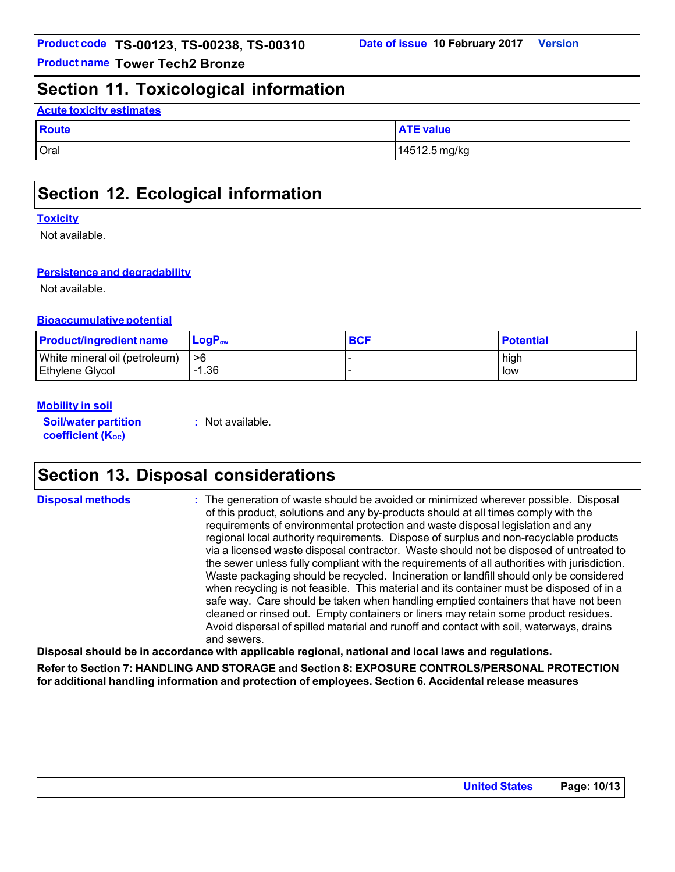### **Section 11. Toxicological information**

### **Acute toxicity estimates**

| <b>Route</b> | <b>ATE value</b> |
|--------------|------------------|
| Oral         | 14512.5 mg/kg    |

## **Section 12. Ecological information**

#### **Toxicity**

Not available.

### **Persistence and degradability**

Not available.

### **Bioaccumulative potential**

| <b>Product/ingredient name</b> | $\mathsf{LogP}_\mathsf{ow}$ | <b>BCF</b> | <b>Potential</b> |
|--------------------------------|-----------------------------|------------|------------------|
| White mineral oil (petroleum)  | ->6∶                        |            | high             |
| <b>Ethylene Glycol</b>         | -1.36                       |            | low              |

### **Mobility in soil**

**Soil/water partition coefficient** (K<sub>oc</sub>)

**:** Not available.

## **Section 13. Disposal considerations**

**Disposal methods :** The generation of waste should be avoided or minimized wherever possible. Disposal of this product, solutions and any by-products should at all times comply with the requirements of environmental protection and waste disposal legislation and any regional local authority requirements. Dispose of surplus and non-recyclable products via a licensed waste disposal contractor. Waste should not be disposed of untreated to the sewer unless fully compliant with the requirements of all authorities with jurisdiction. Waste packaging should be recycled. Incineration or landfill should only be considered when recycling is not feasible. This material and its container must be disposed of in a safe way. Care should be taken when handling emptied containers that have not been cleaned or rinsed out. Empty containers or liners may retain some product residues. Avoid dispersal of spilled material and runoff and contact with soil, waterways, drains and sewers.

**Disposal should be in accordance with applicable regional, national and local laws and regulations.**

**Refer to Section 7: HANDLING AND STORAGE and Section 8: EXPOSURE CONTROLS/PERSONAL PROTECTION for additional handling information and protection of employees. Section 6. Accidental release measures**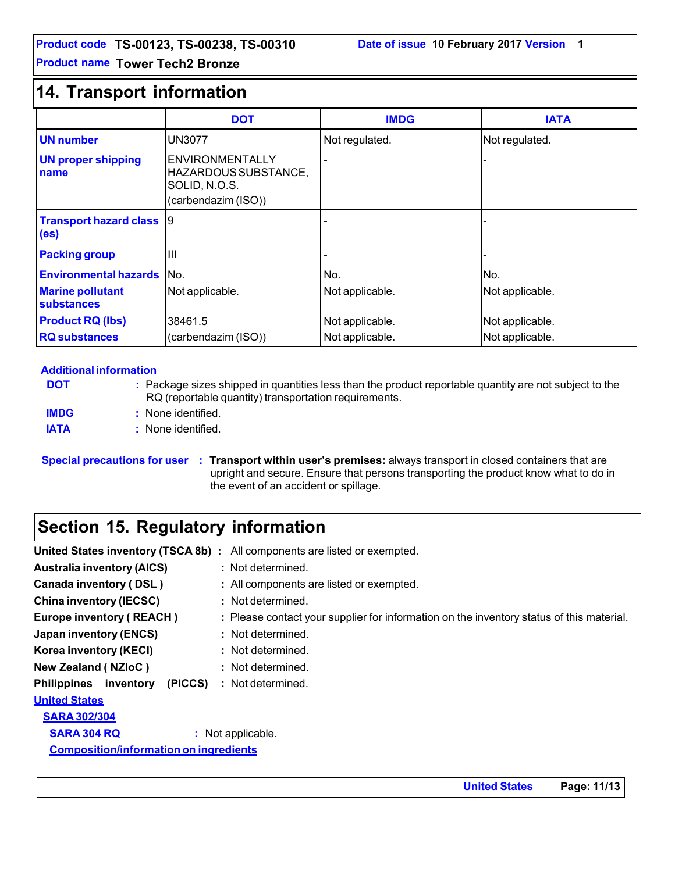### **14. Transport information**

|                                                    | <b>DOT</b>                                                                             | <b>IMDG</b>     | <b>IATA</b>     |
|----------------------------------------------------|----------------------------------------------------------------------------------------|-----------------|-----------------|
| <b>UN</b> number                                   | <b>UN3077</b>                                                                          | Not regulated.  | Not regulated.  |
| <b>UN proper shipping</b><br>name                  | <b>ENVIRONMENTALLY</b><br>HAZARDOUS SUBSTANCE,<br>SOLID, N.O.S.<br>(carbendazim (ISO)) |                 |                 |
| <b>Transport hazard class</b><br>(e <sub>s</sub> ) | 9                                                                                      |                 |                 |
| <b>Packing group</b>                               | III                                                                                    |                 |                 |
| <b>Environmental hazards</b>                       | No.                                                                                    | No.             | No.             |
| <b>Marine pollutant</b><br>substances              | Not applicable.                                                                        | Not applicable. | Not applicable. |
| <b>Product RQ (lbs)</b>                            | 38461.5                                                                                | Not applicable. | Not applicable. |
| <b>RQ</b> substances                               | (carbendazim (ISO))                                                                    | Not applicable. | Not applicable. |

#### **Additional information**

**DOT IMDG :** Package sizes shipped in quantities less than the product reportable quantity are not subject to the RQ (reportable quantity) transportation requirements. **:** None identified. **IATA :** None identified.

**Special precautions for user : Transport within user's premises:** always transport in closed containers that are upright and secure. Ensure that persons transporting the product know what to do in the event of an accident or spillage.

# **Section 15. Regulatory information**

|                                               | United States inventory (TSCA 8b) : All components are listed or exempted.               |
|-----------------------------------------------|------------------------------------------------------------------------------------------|
| <b>Australia inventory (AICS)</b>             | : Not determined.                                                                        |
| <b>Canada inventory (DSL)</b>                 | : All components are listed or exempted.                                                 |
| <b>China inventory (IECSC)</b>                | : Not determined.                                                                        |
| <b>Europe inventory (REACH)</b>               | : Please contact your supplier for information on the inventory status of this material. |
| Japan inventory (ENCS)                        | : Not determined.                                                                        |
| Korea inventory (KECI)                        | : Not determined.                                                                        |
| <b>New Zealand (NZIoC)</b>                    | : Not determined.                                                                        |
| (PICCS)<br><b>Philippines</b> inventory       | : Not determined.                                                                        |
| <b>United States</b>                          |                                                                                          |
| <b>SARA 302/304</b>                           |                                                                                          |
| <b>SARA 304 RQ</b>                            | : Not applicable.                                                                        |
| <b>Composition/information on ingredients</b> |                                                                                          |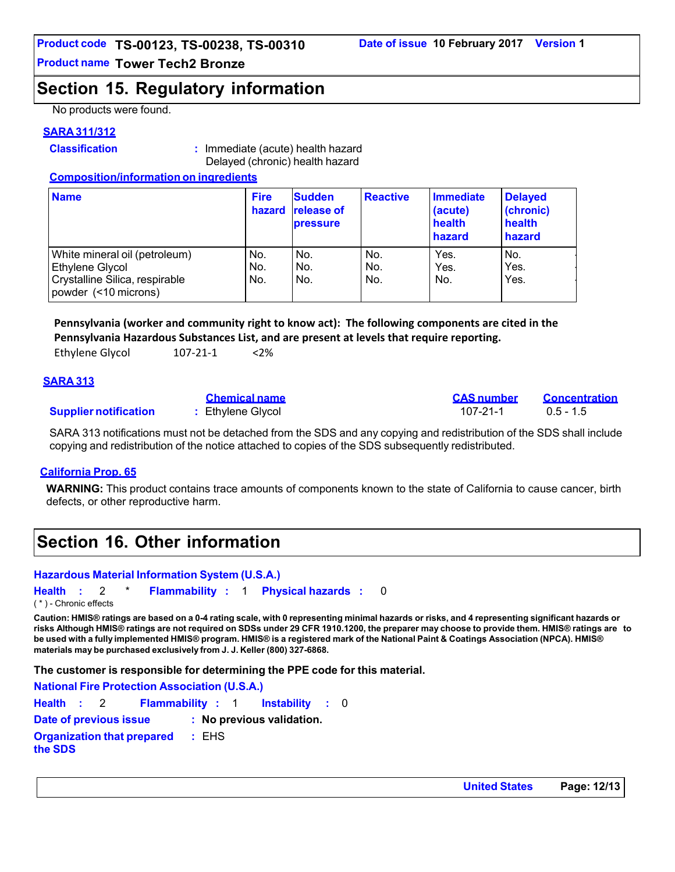### **Section 15. Regulatory information**

No products were found.

### **SARA 311/312**

**Classification :** Immediate (acute) health hazard Delayed (chronic) health hazard

### **Composition/information on ingredients**

| <b>Name</b>                                                                                                | <b>Fire</b><br>hazard | <b>Sudden</b><br><b>release of</b><br><b>pressure</b> | <b>Reactive</b>   | <b>Immediate</b><br>(acute)<br>health<br>hazard | <b>Delayed</b><br>(chronic)<br>health<br>hazard |
|------------------------------------------------------------------------------------------------------------|-----------------------|-------------------------------------------------------|-------------------|-------------------------------------------------|-------------------------------------------------|
| White mineral oil (petroleum)<br>Ethylene Glycol<br>Crystalline Silica, respirable<br>powder (<10 microns) | No.<br>No.<br>No.     | No.<br>No.<br>No.                                     | No.<br>No.<br>No. | Yes.<br>Yes.<br>No.                             | No.<br>Yes.<br>Yes.                             |

**Pennsylvania (worker and community right to know act): The following components are cited in the Pennsylvania Hazardous Substances List, and are present at levels that require reporting.** 

| $<$ 2%<br>107-21-1 |
|--------------------|
|                    |

### **SARA 313**

|                              | <b>Chemical name</b> | <b>CAS number</b> | Concentration |
|------------------------------|----------------------|-------------------|---------------|
| <b>Supplier notification</b> | : Ethylene Glycol    | 107-21-1          | $0.5 - 1.5$   |

SARA 313 notifications must not be detached from the SDS and any copying and redistribution of the SDS shall include copying and redistribution of the notice attached to copies of the SDS subsequently redistributed.

### **California Prop. 65**

**WARNING:** This product contains trace amounts of components known to the state of California to cause cancer, birth defects, or other reproductive harm.

## **Section 16. Other information**

### **Hazardous Material Information System (U.S.A.)**

**Health :** 2 \* **Flammability :** 1 **Physical hazards :** 0 ( \* ) - Chronic effects

Caution: HMIS® ratings are based on a 0-4 rating scale, with 0 representing minimal hazards or risks, and 4 representing significant hazards or risks Although HMIS® ratings are not required on SDSs under 29 CFR 1910.1200, the preparer may choose to provide them. HMIS® ratings are to be used with a fully implemented HMIS® program. HMIS® is a registered mark of the National Paint & Coatings Association (NPCA). HMIS® **materials may be purchased exclusively from J. J. Keller (800) 327-6868.**

**The customer is responsible for determining the PPE code for this material.**

**National Fire Protection Association (U.S.A.) Health :** 2 **Flammability :** 1 **Instability :** 0 **Date of previous issue : No previous validation. Organization that prepared the SDS :** EHS